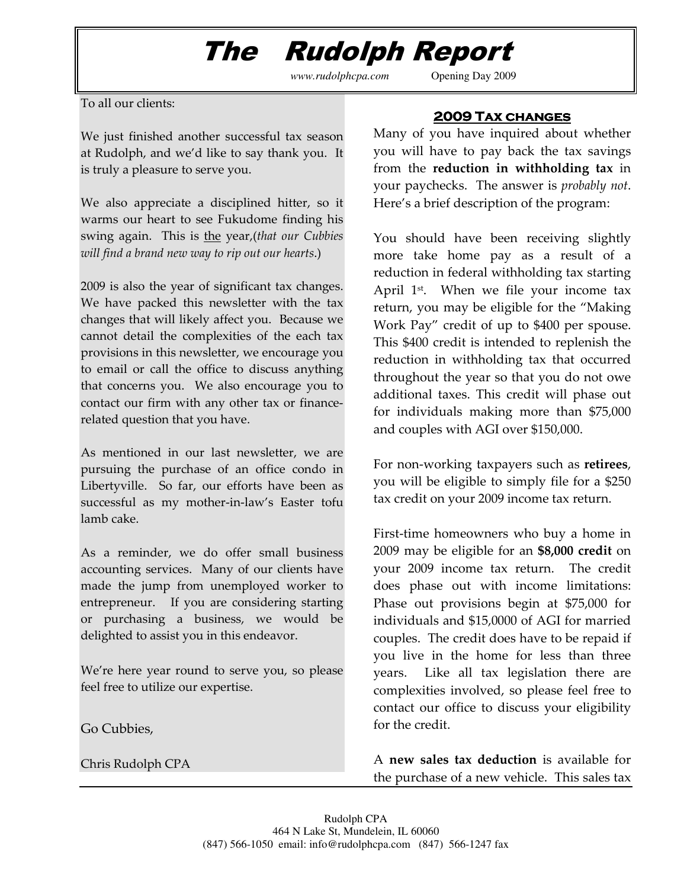## The Rudolph Report

*www.rudolphcpa.com* Opening Day 2009

To all our clients:

We just finished another successful tax season at Rudolph, and we'd like to say thank you. It is truly a pleasure to serve you.

We also appreciate a disciplined hitter, so it warms our heart to see Fukudome finding his swing again. This is the year, (that our Cubbies will find a brand new way to rip out our hearts.)

2009 is also the year of significant tax changes. We have packed this newsletter with the tax changes that will likely affect you. Because we cannot detail the complexities of the each tax provisions in this newsletter, we encourage you to email or call the office to discuss anything that concerns you. We also encourage you to contact our firm with any other tax or financerelated question that you have.

As mentioned in our last newsletter, we are pursuing the purchase of an office condo in Libertyville. So far, our efforts have been as successful as my mother-in-law's Easter tofu lamb cake.

As a reminder, we do offer small business accounting services. Many of our clients have made the jump from unemployed worker to entrepreneur. If you are considering starting or purchasing a business, we would be delighted to assist you in this endeavor.

We're here year round to serve you, so please feel free to utilize our expertise.

Go Cubbies,

Chris Rudolph CPA

## ٦ 2009 Tax changes

Many of you have inquired about whether you will have to pay back the tax savings from the reduction in withholding tax in your paychecks. The answer is probably not. Here's a brief description of the program:

You should have been receiving slightly more take home pay as a result of a reduction in federal withholding tax starting April 1<sup>st</sup>. When we file your income tax return, you may be eligible for the "Making Work Pay" credit of up to \$400 per spouse. This \$400 credit is intended to replenish the reduction in withholding tax that occurred throughout the year so that you do not owe additional taxes. This credit will phase out for individuals making more than \$75,000 and couples with AGI over \$150,000.

For non-working taxpayers such as retirees, you will be eligible to simply file for a \$250 tax credit on your 2009 income tax return.

First-time homeowners who buy a home in 2009 may be eligible for an \$8,000 credit on your 2009 income tax return. The credit does phase out with income limitations: Phase out provisions begin at \$75,000 for individuals and \$15,0000 of AGI for married couples. The credit does have to be repaid if you live in the home for less than three years. Like all tax legislation there are complexities involved, so please feel free to contact our office to discuss your eligibility for the credit.

A new sales tax deduction is available for the purchase of a new vehicle. This sales tax